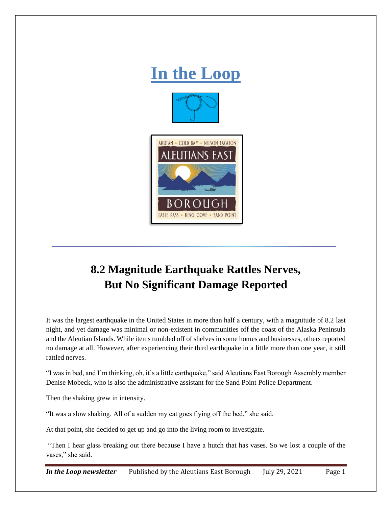

## **8.2 Magnitude Earthquake Rattles Nerves, But No Significant Damage Reported**

It was the largest earthquake in the United States in more than half a century, with a magnitude of 8.2 last night, and yet damage was minimal or non-existent in communities off the coast of the Alaska Peninsula and the Aleutian Islands. While items tumbled off of shelves in some homes and businesses, others reported no damage at all. However, after experiencing their third earthquake in a little more than one year, it still rattled nerves.

"I was in bed, and I'm thinking, oh, it's a little earthquake," said Aleutians East Borough Assembly member Denise Mobeck, who is also the administrative assistant for the Sand Point Police Department.

Then the shaking grew in intensity.

"It was a slow shaking. All of a sudden my cat goes flying off the bed," she said.

At that point, she decided to get up and go into the living room to investigate.

"Then I hear glass breaking out there because I have a hutch that has vases. So we lost a couple of the vases," she said.

*In the Loop newsletter* Published by the Aleutians East Borough July 29, 2021 Page 1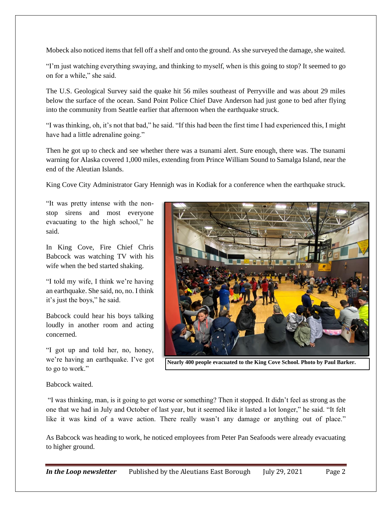Mobeck also noticed items that fell off a shelf and onto the ground. As she surveyed the damage, she waited.

"I'm just watching everything swaying, and thinking to myself, when is this going to stop? It seemed to go on for a while," she said.

The U.S. Geological Survey said the quake hit 56 miles southeast of Perryville and was about 29 miles below the surface of the ocean. Sand Point Police Chief Dave Anderson had just gone to bed after flying into the community from Seattle earlier that afternoon when the earthquake struck.

"I was thinking, oh, it's not that bad," he said. "If this had been the first time I had experienced this, I might have had a little adrenaline going."

Then he got up to check and see whether there was a tsunami alert. Sure enough, there was. The tsunami warning for Alaska covered 1,000 miles, extending from Prince William Sound to Samalga Island, near the end of the Aleutian Islands.

King Cove City Administrator Gary Hennigh was in Kodiak for a conference when the earthquake struck.

"It was pretty intense with the nonstop sirens and most everyone evacuating to the high school," he said.

In King Cove, Fire Chief Chris Babcock was watching TV with his wife when the bed started shaking.

"I told my wife, I think we're having an earthquake. She said, no, no. I think it's just the boys," he said.

Babcock could hear his boys talking loudly in another room and acting concerned.

"I got up and told her, no, honey, we're having an earthquake. I've got to go to work."



**Nearly 400 people evacuated to the King Cove School. Photo by Paul Barker.**

Babcock waited.

"I was thinking, man, is it going to get worse or something? Then it stopped. It didn't feel as strong as the one that we had in July and October of last year, but it seemed like it lasted a lot longer," he said. "It felt like it was kind of a wave action. There really wasn't any damage or anything out of place."

As Babcock was heading to work, he noticed employees from Peter Pan Seafoods were already evacuating to higher ground.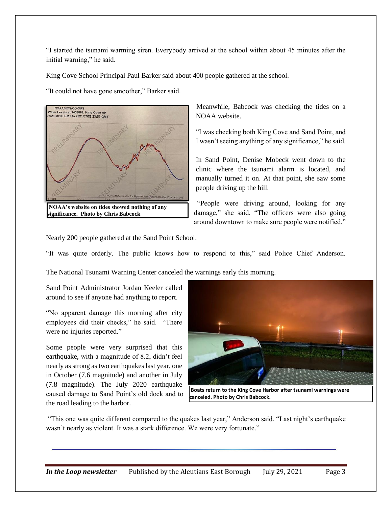"I started the tsunami warming siren. Everybody arrived at the school within about 45 minutes after the initial warning," he said.

King Cove School Principal Paul Barker said about 400 people gathered at the school.

"It could not have gone smoother," Barker said.



**significance. Photo by Chris Babcock**

Meanwhile, Babcock was checking the tides on a NOAA website.

"I was checking both King Cove and Sand Point, and I wasn't seeing anything of any significance," he said.

In Sand Point, Denise Mobeck went down to the clinic where the tsunami alarm is located, and manually turned it on. At that point, she saw some people driving up the hill.

"People were driving around, looking for any damage," she said. "The officers were also going around downtown to make sure people were notified."

Nearly 200 people gathered at the Sand Point School.

"It was quite orderly. The public knows how to respond to this," said Police Chief Anderson.

The National Tsunami Warning Center canceled the warnings early this morning.

Sand Point Administrator Jordan Keeler called around to see if anyone had anything to report.

"No apparent damage this morning after city employees did their checks," he said. "There were no injuries reported."

Some people were very surprised that this earthquake, with a magnitude of 8.2, didn't feel nearly as strong as two earthquakes last year, one in October (7.6 magnitude) and another in July (7.8 magnitude). The July 2020 earthquake caused damage to Sand Point's old dock and to the road leading to the harbor.



**Boats return to the King Cove Harbor after tsunami warnings were canceled. Photo by Chris Babcock.**

"This one was quite different compared to the quakes last year," Anderson said. "Last night's earthquake wasn't nearly as violent. It was a stark difference. We were very fortunate."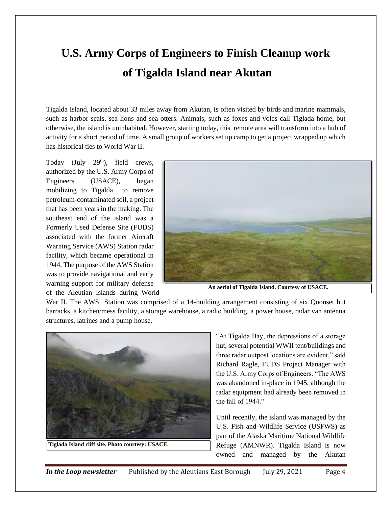## **U.S. Army Corps of Engineers to Finish Cleanup work of Tigalda Island near Akutan**

Tigalda Island, located about 33 miles away from Akutan, is often visited by birds and marine mammals, such as harbor seals, sea lions and sea otters. Animals, such as foxes and voles call Tiglada home, but otherwise, the island is uninhabited. However, starting today, this remote area will transform into a hub of activity for a short period of time. A small group of workers set up camp to get a project wrapped up which has historical ties to World War II.

Today (July  $29<sup>th</sup>$ ), field crews, authorized by the U.S. Army Corps of Engineers (USACE), began mobilizing to Tigalda to remove petroleum-contaminated soil, a project that has been years in the making. The southeast end of the island was a Formerly Used Defense Site (FUDS) associated with the former Aircraft Warning Service (AWS) Station radar facility, which became operational in 1944. The purpose of the AWS Station was to provide navigational and early warning support for military defense of the Aleutian Islands during World



War II. The AWS Station was comprised of a 14-building arrangement consisting of six Quonset hut barracks, a kitchen/mess facility, a storage warehouse, a radio building, a power house, radar van antenna structures, latrines and a pump house.



**Tiglada Island cliff site. Photo courtesy: USACE.**

"At Tigalda Bay, the depressions of a storage hut, several potential WWII tent/buildings and three radar outpost locations are evident," said Richard Ragle, FUDS Project Manager with the U.S. Army Corps of Engineers. "The AWS was abandoned in-place in 1945, although the radar equipment had already been removed in the fall of 1944."

Until recently, the island was managed by the U.S. Fish and Wildlife Service (USFWS) as part of the Alaska Maritime National Wildlife Refuge (AMNWR). Tigalda Island is now owned and managed by the Akutan

*In the Loop newsletter* Published by the Aleutians East Borough July 29, 2021 Page 4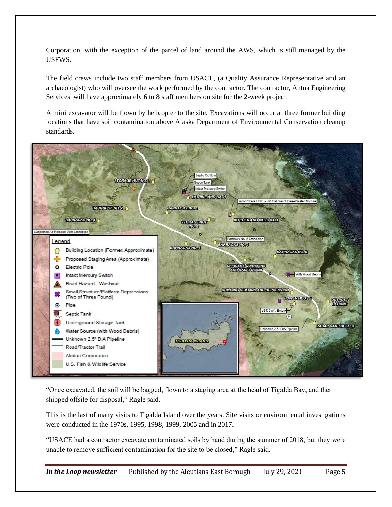Corporation, with the exception of the parcel of land around the AWS, which is still managed by the USFWS.

The field crews include two staff members from USACE, (a Quality Assurance Representative and an archaeologist) who will oversee the work performed by the contractor. The contractor, Ahtna Engineering Services will have approximately 6 to 8 staff members on site for the 2-week project.

A mini excavator will be flown by helicopter to the site. Excavations will occur at three former building locations that have soil contamination above Alaska Department of Environmental Conservation cleanup standards.



"Once excavated, the soil will be bagged, flown to a staging area at the head of Tigalda Bay, and then shipped offsite for disposal," Ragle said.

This is the last of many visits to Tigalda Island over the years. Site visits or environmental investigations were conducted in the 1970s, 1995, 1998, 1999, 2005 and in 2017.

"USACE had a contractor excavate contaminated soils by hand during the summer of 2018, but they were unable to remove sufficient contamination for the site to be closed," Ragle said.

*In the Loop newsletter* Published by the Aleutians East Borough July 29, 2021 Page 5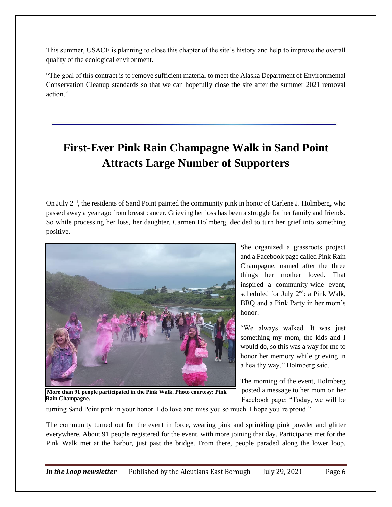This summer, USACE is planning to close this chapter of the site's history and help to improve the overall quality of the ecological environment.

"The goal of this contract is to remove sufficient material to meet the Alaska Department of Environmental Conservation Cleanup standards so that we can hopefully close the site after the summer 2021 removal action."

## **First-Ever Pink Rain Champagne Walk in Sand Point Attracts Large Number of Supporters**

On July 2<sup>nd</sup>, the residents of Sand Point painted the community pink in honor of Carlene J. Holmberg, who passed away a year ago from breast cancer. Grieving her loss has been a struggle for her family and friends. So while processing her loss, her daughter, Carmen Holmberg, decided to turn her grief into something positive.



**More than 91 people participated in the Pink Walk. Photo courtesy: Pink Rain Champagne.**

She organized a grassroots project and a Facebook page called Pink Rain Champagne, named after the three things her mother loved. That inspired a community-wide event, scheduled for July 2<sup>nd</sup>: a Pink Walk, BBQ and a Pink Party in her mom's honor.

"We always walked. It was just something my mom, the kids and I would do, so this was a way for me to honor her memory while grieving in a healthy way," Holmberg said.

The morning of the event, Holmberg posted a message to her mom on her Facebook page: "Today, we will be

turning Sand Point pink in your honor. I do love and miss you so much. I hope you're proud."

The community turned out for the event in force, wearing pink and sprinkling pink powder and glitter everywhere. About 91 people registered for the event, with more joining that day. Participants met for the Pink Walk met at the harbor, just past the bridge. From there, people paraded along the lower loop.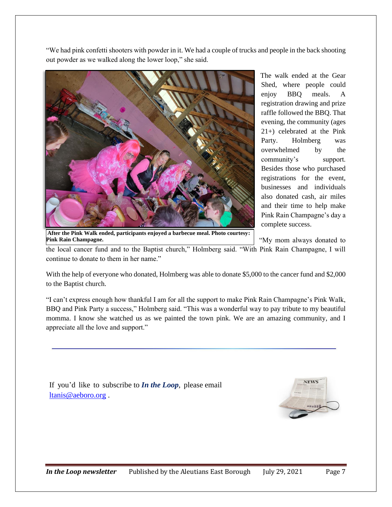"We had pink confetti shooters with powder in it. We had a couple of trucks and people in the back shooting out powder as we walked along the lower loop," she said.



The walk ended at the Gear Shed, where people could enjoy BBQ meals. A registration drawing and prize raffle followed the BBQ. That evening, the community (ages 21+) celebrated at the Pink Party. Holmberg was overwhelmed by the community's support. Besides those who purchased registrations for the event, businesses and individuals also donated cash, air miles and their time to help make Pink Rain Champagne's day a complete success.

**After the Pink Walk ended, participants enjoyed a barbecue meal. Photo courtesy: Pink Rain Champagne.**

"My mom always donated to

the local cancer fund and to the Baptist church," Holmberg said. "With Pink Rain Champagne, I will continue to donate to them in her name."

With the help of everyone who donated, Holmberg was able to donate \$5,000 to the cancer fund and \$2,000 to the Baptist church.

"I can't express enough how thankful I am for all the support to make Pink Rain Champagne's Pink Walk, BBQ and Pink Party a success," Holmberg said. "This was a wonderful way to pay tribute to my beautiful momma. I know she watched us as we painted the town pink. We are an amazing community, and I appreciate all the love and support."

If you'd like to subscribe to *In the Loop*, please email [ltanis@aeboro.org](mailto:ltanis@aeboro.org) .